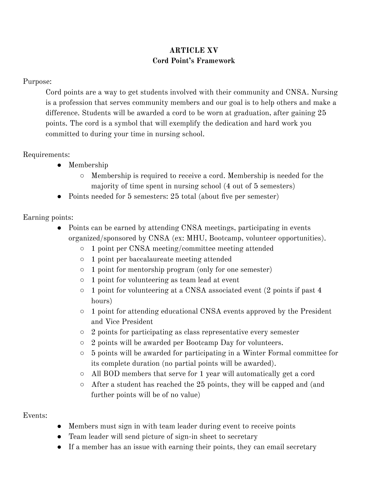## **ARTICLE XV Cord Point's Framework**

#### Purpose:

Cord points are a way to get students involved with their community and CNSA. Nursing is a profession that serves community members and our goal is to help others and make a difference. Students will be awarded a cord to be worn at graduation, after gaining 25 points. The cord is a symbol that will exemplify the dedication and hard work you committed to during your time in nursing school.

## Requirements:

- Membership
	- Membership is required to receive a cord. Membership is needed for the majority of time spent in nursing school (4 out of 5 semesters)
- Points needed for 5 semesters: 25 total (about five per semester)

# Earning points:

- Points can be earned by attending CNSA meetings, participating in events organized/sponsored by CNSA (ex: MHU, Bootcamp, volunteer opportunities).
	- 1 point per CNSA meeting/committee meeting attended
	- 1 point per baccalaureate meeting attended
	- 1 point for mentorship program (only for one semester)
	- 1 point for volunteering as team lead at event
	- 1 point for volunteering at a CNSA associated event (2 points if past 4 hours)
	- 1 point for attending educational CNSA events approved by the President and Vice President
	- 2 points for participating as class representative every semester
	- 2 points will be awarded per Bootcamp Day for volunteers.
	- 5 points will be awarded for participating in a Winter Formal committee for its complete duration (no partial points will be awarded).
	- All BOD members that serve for 1 year will automatically get a cord
	- $\circ$  After a student has reached the 25 points, they will be capped and (and further points will be of no value)

#### Events:

- Members must sign in with team leader during event to receive points
- Team leader will send picture of sign-in sheet to secretary
- If a member has an issue with earning their points, they can email secretary